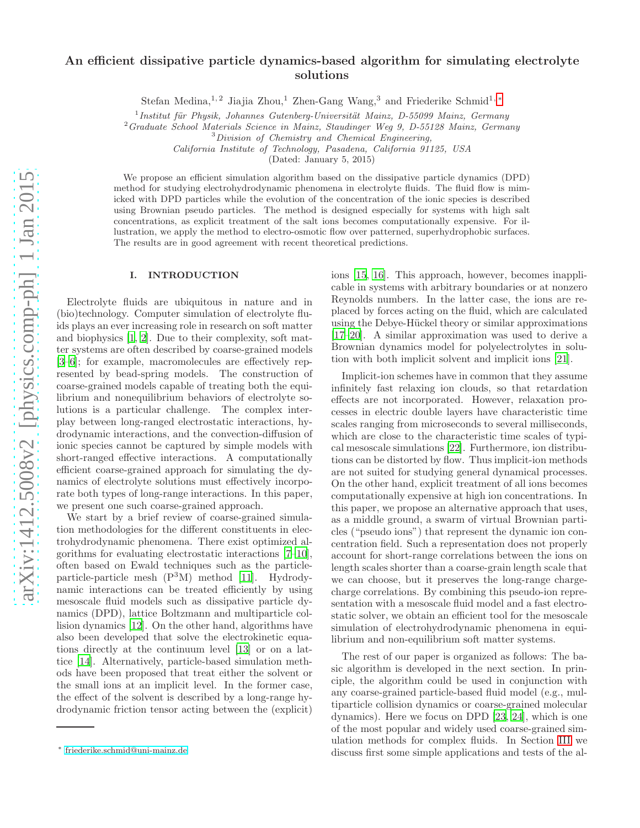# An efficient dissipative particle dynamics-based algorithm for simulating electrolyte solutions

Stefan Medina,<sup>1, 2</sup> Jiajia Zhou,<sup>1</sup> Zhen-Gang Wang,<sup>3</sup> and Friederike Schmid<sup>1,\*</sup>

<sup>1</sup> Institut für Physik, Johannes Gutenberg-Universität Mainz, D-55099 Mainz, Germany

<sup>2</sup>*Graduate School Materials Science in Mainz, Staudinger Weg 9, D-55128 Mainz, Germany*

<sup>3</sup>*Division of Chemistry and Chemical Engineering,*

*California Institute of Technology, Pasadena, California 91125, USA*

(Dated: January 5, 2015)

We propose an efficient simulation algorithm based on the dissipative particle dynamics (DPD) method for studying electrohydrodynamic phenomena in electrolyte fluids. The fluid flow is mimicked with DPD particles while the evolution of the concentration of the ionic species is described using Brownian pseudo particles. The method is designed especially for systems with high salt concentrations, as explicit treatment of the salt ions becomes computationally expensive. For illustration, we apply the method to electro-osmotic flow over patterned, superhydrophobic surfaces. The results are in good agreement with recent theoretical predictions.

## I. INTRODUCTION

Electrolyte fluids are ubiquitous in nature and in (bio)technology. Computer simulation of electrolyte fluids plays an ever increasing role in research on soft matter and biophysics [\[1,](#page-11-0) [2\]](#page-11-1). Due to their complexity, soft matter systems are often described by coarse-grained models [\[3](#page-11-2)[–6\]](#page-11-3); for example, macromolecules are effectively represented by bead-spring models. The construction of coarse-grained models capable of treating both the equilibrium and nonequilibrium behaviors of electrolyte solutions is a particular challenge. The complex interplay between long-ranged electrostatic interactions, hydrodynamic interactions, and the convection-diffusion of ionic species cannot be captured by simple models with short-ranged effective interactions. A computationally efficient coarse-grained approach for simulating the dynamics of electrolyte solutions must effectively incorporate both types of long-range interactions. In this paper, we present one such coarse-grained approach.

We start by a brief review of coarse-grained simulation methodologies for the different constituents in electrohydrodynamic phenomena. There exist optimized algorithms for evaluating electrostatic interactions [\[7](#page-11-4)[–10\]](#page-11-5), often based on Ewald techniques such as the particleparticle-particle mesh  $(P<sup>3</sup>M)$  method [\[11\]](#page-11-6). Hydrodynamic interactions can be treated efficiently by using mesoscale fluid models such as dissipative particle dynamics (DPD), lattice Boltzmann and multiparticle collision dynamics [\[12\]](#page-11-7). On the other hand, algorithms have also been developed that solve the electrokinetic equations directly at the continuum level [\[13\]](#page-11-8) or on a lattice [\[14](#page-11-9)]. Alternatively, particle-based simulation methods have been proposed that treat either the solvent or the small ions at an implicit level. In the former case, the effect of the solvent is described by a long-range hydrodynamic friction tensor acting between the (explicit)

ions [\[15,](#page-11-10) [16](#page-11-11)]. This approach, however, becomes inapplicable in systems with arbitrary boundaries or at nonzero Reynolds numbers. In the latter case, the ions are replaced by forces acting on the fluid, which are calculated using the Debye-Hückel theory or similar approximations [\[17](#page-11-12)[–20\]](#page-11-13). A similar approximation was used to derive a Brownian dynamics model for polyelectrolytes in solution with both implicit solvent and implicit ions [\[21\]](#page-11-14).

Implicit-ion schemes have in common that they assume infinitely fast relaxing ion clouds, so that retardation effects are not incorporated. However, relaxation processes in electric double layers have characteristic time scales ranging from microseconds to several milliseconds, which are close to the characteristic time scales of typical mesoscale simulations [\[22](#page-11-15)]. Furthermore, ion distributions can be distorted by flow. Thus implicit-ion methods are not suited for studying general dynamical processes. On the other hand, explicit treatment of all ions becomes computationally expensive at high ion concentrations. In this paper, we propose an alternative approach that uses, as a middle ground, a swarm of virtual Brownian particles ("pseudo ions") that represent the dynamic ion concentration field. Such a representation does not properly account for short-range correlations between the ions on length scales shorter than a coarse-grain length scale that we can choose, but it preserves the long-range chargecharge correlations. By combining this pseudo-ion representation with a mesoscale fluid model and a fast electrostatic solver, we obtain an efficient tool for the mesoscale simulation of electrohydrodynamic phenomena in equilibrium and non-equilibrium soft matter systems.

The rest of our paper is organized as follows: The basic algorithm is developed in the next section. In principle, the algorithm could be used in conjunction with any coarse-grained particle-based fluid model (e.g., multiparticle collision dynamics or coarse-grained molecular dynamics). Here we focus on DPD [\[23](#page-11-16), [24](#page-11-17)], which is one of the most popular and widely used coarse-grained simulation methods for complex fluids. In Section [III](#page-1-0) we discuss first some simple applications and tests of the al-

<span id="page-0-0"></span><sup>∗</sup> [friederike.schmid@uni-mainz.de](mailto:friederike.schmid@uni-mainz.de)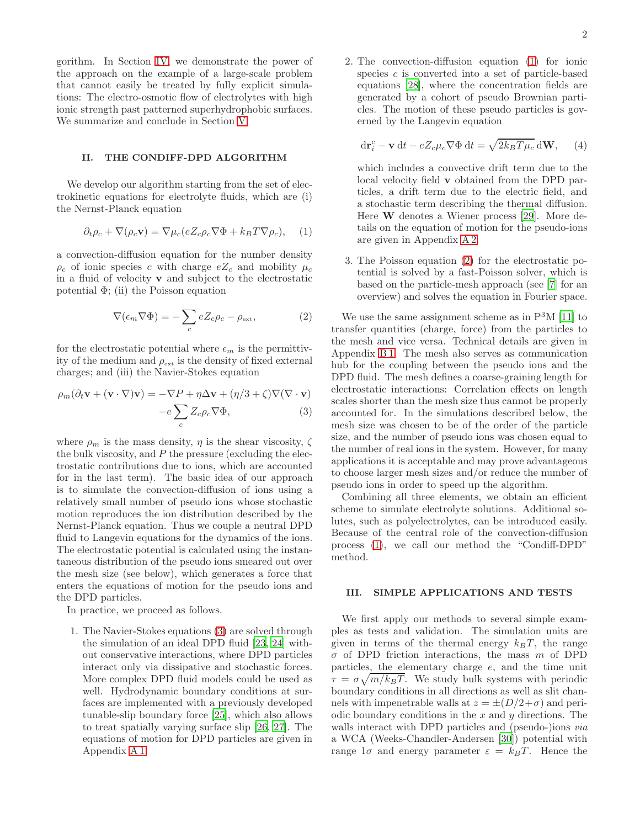gorithm. In Section [IV,](#page-4-0) we demonstrate the power of the approach on the example of a large-scale problem that cannot easily be treated by fully explicit simulations: The electro-osmotic flow of electrolytes with high ionic strength past patterned superhydrophobic surfaces. We summarize and conclude in Section [V.](#page-5-0)

# II. THE CONDIFF-DPD ALGORITHM

We develop our algorithm starting from the set of electrokinetic equations for electrolyte fluids, which are (i) the Nernst-Planck equation

<span id="page-1-2"></span>
$$
\partial_t \rho_c + \nabla(\rho_c \mathbf{v}) = \nabla \mu_c (e Z_c \rho_c \nabla \Phi + k_B T \nabla \rho_c), \quad (1)
$$

a convection-diffusion equation for the number density  $\rho_c$  of ionic species c with charge  $eZ_c$  and mobility  $\mu_c$ in a fluid of velocity v and subject to the electrostatic potential  $\Phi$ ; (ii) the Poisson equation

<span id="page-1-3"></span>
$$
\nabla(\epsilon_m \nabla \Phi) = -\sum_c e Z_c \rho_c - \rho_{\text{ext}},\tag{2}
$$

for the electrostatic potential where  $\epsilon_m$  is the permittivity of the medium and  $\rho_{\text{ext}}$  is the density of fixed external charges; and (iii) the Navier-Stokes equation

<span id="page-1-1"></span>
$$
\rho_m(\partial_t \mathbf{v} + (\mathbf{v} \cdot \nabla) \mathbf{v}) = -\nabla P + \eta \Delta \mathbf{v} + (\eta/3 + \zeta) \nabla (\nabla \cdot \mathbf{v})
$$

$$
-e\sum_{c}Z_{c}\rho_{c}\nabla\Phi,\tag{3}
$$

where  $\rho_m$  is the mass density,  $\eta$  is the shear viscosity,  $\zeta$ the bulk viscosity, and  $P$  the pressure (excluding the electrostatic contributions due to ions, which are accounted for in the last term). The basic idea of our approach is to simulate the convection-diffusion of ions using a relatively small number of pseudo ions whose stochastic motion reproduces the ion distribution described by the Nernst-Planck equation. Thus we couple a neutral DPD fluid to Langevin equations for the dynamics of the ions. The electrostatic potential is calculated using the instantaneous distribution of the pseudo ions smeared out over the mesh size (see below), which generates a force that enters the equations of motion for the pseudo ions and the DPD particles.

In practice, we proceed as follows.

1. The Navier-Stokes equations [\(3\)](#page-1-1) are solved through the simulation of an ideal DPD fluid [\[23](#page-11-16), [24](#page-11-17)] without conservative interactions, where DPD particles interact only via dissipative and stochastic forces. More complex DPD fluid models could be used as well. Hydrodynamic boundary conditions at surfaces are implemented with a previously developed tunable-slip boundary force [\[25](#page-11-18)], which also allows to treat spatially varying surface slip [\[26,](#page-11-19) [27\]](#page-11-20). The equations of motion for DPD particles are given in Appendix [A 1.](#page-6-0)

2. The convection-diffusion equation [\(1\)](#page-1-2) for ionic species  $c$  is converted into a set of particle-based equations [\[28](#page-11-21)], where the concentration fields are generated by a cohort of pseudo Brownian particles. The motion of these pseudo particles is governed by the Langevin equation

<span id="page-1-4"></span>
$$
\mathrm{d}\mathbf{r}_{i}^{c} - \mathbf{v}\,\mathrm{d}t - eZ_{c}\mu_{c}\nabla\Phi\,\mathrm{d}t = \sqrt{2k_{B}T\mu_{c}}\,\mathrm{d}\mathbf{W},\qquad(4)
$$

which includes a convective drift term due to the local velocity field v obtained from the DPD particles, a drift term due to the electric field, and a stochastic term describing the thermal diffusion. Here W denotes a Wiener process [\[29\]](#page-11-22). More details on the equation of motion for the pseudo-ions are given in Appendix [A 2.](#page-7-0)

3. The Poisson equation [\(2\)](#page-1-3) for the electrostatic potential is solved by a fast-Poisson solver, which is based on the particle-mesh approach (see [\[7\]](#page-11-4) for an overview) and solves the equation in Fourier space.

We use the same assignment scheme as in  $P<sup>3</sup>M$  [\[11](#page-11-6)] to transfer quantities (charge, force) from the particles to the mesh and vice versa. Technical details are given in Appendix [B 1.](#page-7-1) The mesh also serves as communication hub for the coupling between the pseudo ions and the DPD fluid. The mesh defines a coarse-graining length for electrostatic interactions: Correlation effects on length scales shorter than the mesh size thus cannot be properly accounted for. In the simulations described below, the mesh size was chosen to be of the order of the particle size, and the number of pseudo ions was chosen equal to the number of real ions in the system. However, for many applications it is acceptable and may prove advantageous to choose larger mesh sizes and/or reduce the number of pseudo ions in order to speed up the algorithm.

Combining all three elements, we obtain an efficient scheme to simulate electrolyte solutions. Additional solutes, such as polyelectrolytes, can be introduced easily. Because of the central role of the convection-diffusion process [\(1\)](#page-1-2), we call our method the "Condiff-DPD" method.

#### <span id="page-1-0"></span>III. SIMPLE APPLICATIONS AND TESTS

We first apply our methods to several simple examples as tests and validation. The simulation units are given in terms of the thermal energy  $k_BT$ , the range  $\sigma$  of DPD friction interactions, the mass m of DPD particles, the elementary charge e, and the time unit  $\tau = \sigma \sqrt{m/k_B T}$ . We study bulk systems with periodic boundary conditions in all directions as well as slit channels with impenetrable walls at  $z = \pm (D/2 + \sigma)$  and periodic boundary conditions in the  $x$  and  $y$  directions. The walls interact with DPD particles and (pseudo-)ions *via* a WCA (Weeks-Chandler-Andersen [\[30\]](#page-11-23)) potential with range  $1\sigma$  and energy parameter  $\varepsilon = k_BT$ . Hence the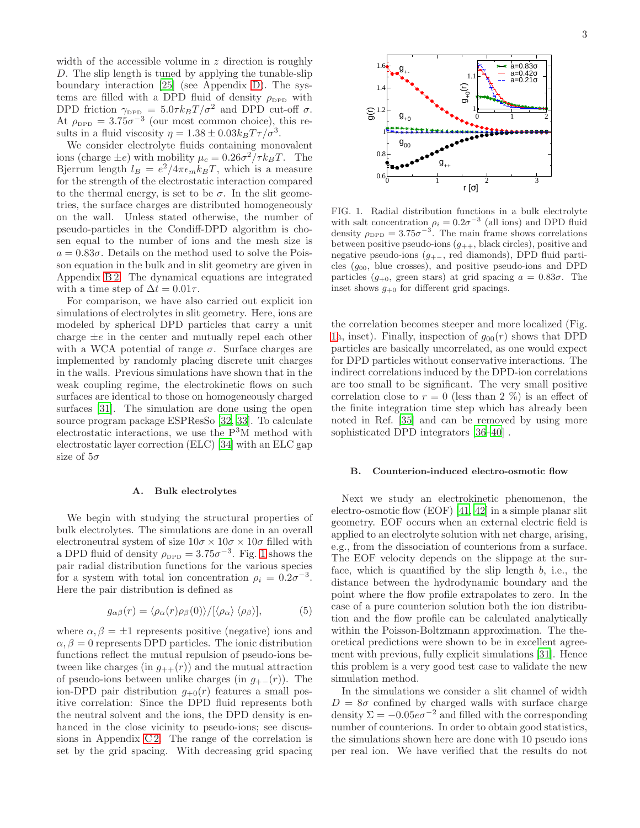width of the accessible volume in  $z$  direction is roughly D. The slip length is tuned by applying the tunable-slip boundary interaction [\[25\]](#page-11-18) (see Appendix [D\)](#page-10-0). The systems are filled with a DPD fluid of density  $\rho_{\text{DPD}}$  with DPD friction  $\gamma_{\text{DPD}} = 5.0 \tau k_B T / \sigma^2$  and DPD cut-off  $\sigma$ . At  $\rho_{\text{DPD}} = 3.75\sigma^{-3}$  (our most common choice), this results in a fluid viscosity  $\eta = 1.38 \pm 0.03 k_B T \tau / \sigma^3$ .

We consider electrolyte fluids containing monovalent ions (charge  $\pm e$ ) with mobility  $\mu_c = 0.26\sigma^2/\tau k_BT$ . The Bjerrum length  $l_B = e^2/4\pi\epsilon_m k_B T$ , which is a measure for the strength of the electrostatic interaction compared to the thermal energy, is set to be  $\sigma$ . In the slit geometries, the surface charges are distributed homogeneously on the wall. Unless stated otherwise, the number of pseudo-particles in the Condiff-DPD algorithm is chosen equal to the number of ions and the mesh size is  $a = 0.83\sigma$ . Details on the method used to solve the Poisson equation in the bulk and in slit geometry are given in Appendix [B 2.](#page-7-2) The dynamical equations are integrated with a time step of  $\Delta t = 0.01\tau$ .

For comparison, we have also carried out explicit ion simulations of electrolytes in slit geometry. Here, ions are modeled by spherical DPD particles that carry a unit charge  $\pm e$  in the center and mutually repel each other with a WCA potential of range  $\sigma$ . Surface charges are implemented by randomly placing discrete unit charges in the walls. Previous simulations have shown that in the weak coupling regime, the electrokinetic flows on such surfaces are identical to those on homogeneously charged surfaces [\[31](#page-11-24)]. The simulation are done using the open source program package ESPResSo [\[32](#page-11-25), [33\]](#page-11-26). To calculate electrostatic interactions, we use the  $P<sup>3</sup>M$  method with electrostatic layer correction (ELC) [\[34](#page-11-27)] with an ELC gap size of  $5\sigma$ 

#### <span id="page-2-1"></span>A. Bulk electrolytes

We begin with studying the structural properties of bulk electrolytes. The simulations are done in an overall electroneutral system of size  $10\sigma \times 10\sigma \times 10\sigma$  filled with a DPD fluid of density  $\rho_{\text{DPD}} = 3.75\sigma^{-3}$ . Fig. [1](#page-2-0) shows the pair radial distribution functions for the various species for a system with total ion concentration  $\rho_i = 0.2\sigma^{-3}$ . Here the pair distribution is defined as

$$
g_{\alpha\beta}(r) = \langle \rho_{\alpha}(r)\rho_{\beta}(0) \rangle / [\langle \rho_{\alpha} \rangle \langle \rho_{\beta} \rangle], \tag{5}
$$

where  $\alpha, \beta = \pm 1$  represents positive (negative) ions and  $\alpha, \beta = 0$  represents DPD particles. The ionic distribution functions reflect the mutual repulsion of pseudo-ions between like charges (in  $g_{++}(r)$ ) and the mutual attraction of pseudo-ions between unlike charges (in  $q_{+-}(r)$ ). The ion-DPD pair distribution  $g_{+0}(r)$  features a small positive correlation: Since the DPD fluid represents both the neutral solvent and the ions, the DPD density is enhanced in the close vicinity to pseudo-ions; see discussions in Appendix C2. The range of the correlation is set by the grid spacing. With decreasing grid spacing



<span id="page-2-0"></span>FIG. 1. Radial distribution functions in a bulk electrolyte with salt concentration  $\rho_i = 0.2\sigma^{-3}$  (all ions) and DPD fluid density  $\rho_{\text{DPD}} = 3.75 \sigma^{-3}$ . The main frame shows correlations between positive pseudo-ions  $(g_{++},$  black circles), positive and negative pseudo-ions (g+<sup>−</sup>, red diamonds), DPD fluid particles  $(g_{00},$  blue crosses), and positive pseudo-ions and DPD particles  $(g_{+0}$ , green stars) at grid spacing  $a = 0.83\sigma$ . The inset shows  $g_{+0}$  for different grid spacings.

the correlation becomes steeper and more localized (Fig. [1a](#page-2-0), inset). Finally, inspection of  $g_{00}(r)$  shows that DPD particles are basically uncorrelated, as one would expect for DPD particles without conservative interactions. The indirect correlations induced by the DPD-ion correlations are too small to be significant. The very small positive correlation close to  $r = 0$  (less than 2 %) is an effect of the finite integration time step which has already been noted in Ref. [\[35](#page-11-28)] and can be removed by using more sophisticated DPD integrators [\[36](#page-11-29)[–40](#page-11-30)] .

#### B. Counterion-induced electro-osmotic flow

Next we study an electrokinetic phenomenon, the electro-osmotic flow (EOF) [\[41](#page-11-31), [42\]](#page-11-32) in a simple planar slit geometry. EOF occurs when an external electric field is applied to an electrolyte solution with net charge, arising, e.g., from the dissociation of counterions from a surface. The EOF velocity depends on the slippage at the surface, which is quantified by the slip length b, i.e., the distance between the hydrodynamic boundary and the point where the flow profile extrapolates to zero. In the case of a pure counterion solution both the ion distribution and the flow profile can be calculated analytically within the Poisson-Boltzmann approximation. The theoretical predictions were shown to be in excellent agreement with previous, fully explicit simulations [\[31](#page-11-24)]. Hence this problem is a very good test case to validate the new simulation method.

In the simulations we consider a slit channel of width  $D = 8\sigma$  confined by charged walls with surface charge density  $\Sigma = -0.05e\sigma^{-2}$  and filled with the corresponding number of counterions. In order to obtain good statistics, the simulations shown here are done with 10 pseudo ions per real ion. We have verified that the results do not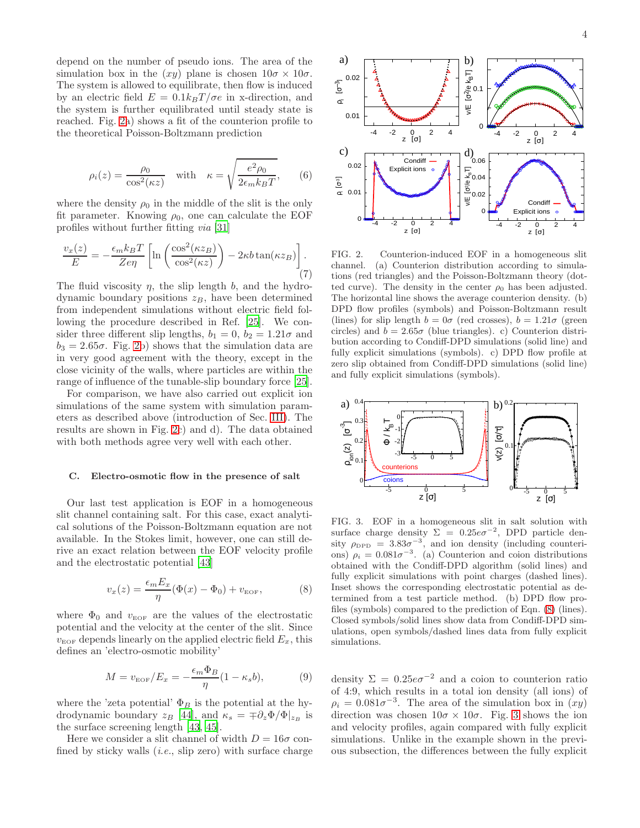depend on the number of pseudo ions. The area of the simulation box in the  $(xy)$  plane is chosen  $10\sigma \times 10\sigma$ . The system is allowed to equilibrate, then flow is induced by an electric field  $E = 0.1k_BT/\sigma e$  in x-direction, and the system is further equilibrated until steady state is reached. Fig. [2a](#page-3-0)) shows a fit of the counterion profile to the theoretical Poisson-Boltzmann prediction

$$
\rho_i(z) = \frac{\rho_0}{\cos^2(\kappa z)} \quad \text{with} \quad \kappa = \sqrt{\frac{e^2 \rho_0}{2\epsilon_m k_B T}}, \qquad (6)
$$

where the density  $\rho_0$  in the middle of the slit is the only fit parameter. Knowing  $\rho_0$ , one can calculate the EOF profiles without further fitting via [\[31\]](#page-11-24)

$$
\frac{v_x(z)}{E} = -\frac{\epsilon_m k_B T}{Z e \eta} \left[ \ln \left( \frac{\cos^2(\kappa z_B)}{\cos^2(\kappa z)} \right) - 2\kappa b \tan(\kappa z_B) \right]. \tag{7}
$$

The fluid viscosity  $\eta$ , the slip length b, and the hydrodynamic boundary positions  $z_B$ , have been determined from independent simulations without electric field following the procedure described in Ref. [\[25\]](#page-11-18). We consider three different slip lengths,  $b_1 = 0$ ,  $b_2 = 1.21\sigma$  and  $b_3 = 2.65\sigma$ . Fig. [2b](#page-3-0)) shows that the simulation data are in very good agreement with the theory, except in the close vicinity of the walls, where particles are within the range of influence of the tunable-slip boundary force [\[25\]](#page-11-18).

For comparison, we have also carried out explicit ion simulations of the same system with simulation parameters as described above (introduction of Sec. [III\)](#page-1-0). The results are shown in Fig. [2c](#page-3-0)) and d). The data obtained with both methods agree very well with each other.

#### <span id="page-3-4"></span>C. Electro-osmotic flow in the presence of salt

Our last test application is EOF in a homogeneous slit channel containing salt. For this case, exact analytical solutions of the Poisson-Boltzmann equation are not available. In the Stokes limit, however, one can still derive an exact relation between the EOF velocity profile and the electrostatic potential [\[43](#page-11-33)]

<span id="page-3-1"></span>
$$
v_x(z) = \frac{\epsilon_m E_x}{\eta} (\Phi(x) - \Phi_0) + v_{\text{EOF}}, \tag{8}
$$

where  $\Phi_0$  and  $v_{\text{EOF}}$  are the values of the electrostatic potential and the velocity at the center of the slit. Since  $v_{\text{EOF}}$  depends linearly on the applied electric field  $E_x$ , this defines an 'electro-osmotic mobility'

<span id="page-3-3"></span>
$$
M = v_{\text{EOF}}/E_x = -\frac{\epsilon_m \Phi_B}{\eta} (1 - \kappa_s b), \tag{9}
$$

where the 'zeta potential'  $\Phi_B$  is the potential at the hydrodynamic boundary  $z_B$  [\[44](#page-11-34)], and  $\kappa_s = \pm \partial_z \Phi / \Phi |_{z_B}$  is the surface screening length [\[43](#page-11-33), [45](#page-11-35)].

Here we consider a slit channel of width  $D = 16\sigma$  confined by sticky walls  $(i.e.,$  slip zero) with surface charge



<span id="page-3-0"></span>FIG. 2. Counterion-induced EOF in a homogeneous slit channel. (a) Counterion distribution according to simulations (red triangles) and the Poisson-Boltzmann theory (dotted curve). The density in the center  $\rho_0$  has been adjusted. The horizontal line shows the average counterion density. (b) DPD flow profiles (symbols) and Poisson-Boltzmann result (lines) for slip length  $b = 0\sigma$  (red crosses),  $b = 1.21\sigma$  (green circles) and  $b = 2.65\sigma$  (blue triangles). c) Counterion distribution according to Condiff-DPD simulations (solid line) and fully explicit simulations (symbols). c) DPD flow profile at zero slip obtained from Condiff-DPD simulations (solid line) and fully explicit simulations (symbols).



<span id="page-3-2"></span>FIG. 3. EOF in a homogeneous slit in salt solution with surface charge density  $\Sigma = 0.25e\sigma^{-2}$ , DPD particle density  $\rho_{\text{DPD}} = 3.83\sigma^{-3}$ , and ion density (including counterions)  $\rho_i = 0.081\sigma^{-3}$ . (a) Counterion and coion distributions obtained with the Condiff-DPD algorithm (solid lines) and fully explicit simulations with point charges (dashed lines). Inset shows the corresponding electrostatic potential as determined from a test particle method. (b) DPD flow profiles (symbols) compared to the prediction of Eqn. [\(8\)](#page-3-1) (lines). Closed symbols/solid lines show data from Condiff-DPD simulations, open symbols/dashed lines data from fully explicit simulations.

density  $\Sigma = 0.25e\sigma^{-2}$  and a coion to counterion ratio of 4:9, which results in a total ion density (all ions) of  $\rho_i = 0.081 \sigma^{-3}$ . The area of the simulation box in  $(xy)$ direction was chosen  $10\sigma \times 10\sigma$ . Fig. [3](#page-3-2) shows the ion and velocity profiles, again compared with fully explicit simulations. Unlike in the example shown in the previous subsection, the differences between the fully explicit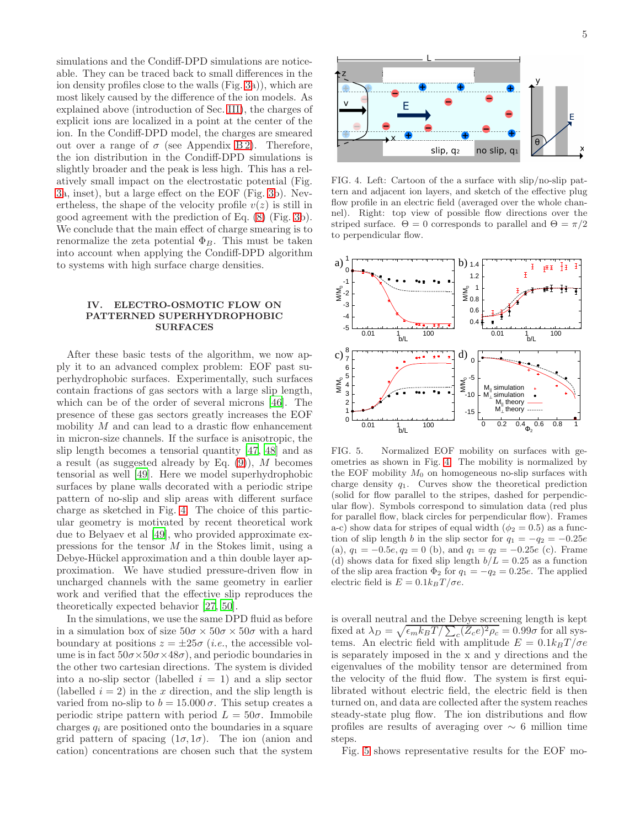simulations and the Condiff-DPD simulations are noticeable. They can be traced back to small differences in the ion density profiles close to the walls (Fig. [3a](#page-3-2))), which are most likely caused by the difference of the ion models. As explained above (introduction of Sec. [III\)](#page-1-0), the charges of explicit ions are localized in a point at the center of the ion. In the Condiff-DPD model, the charges are smeared out over a range of  $\sigma$  (see Appendix B2). Therefore, the ion distribution in the Condiff-DPD simulations is slightly broader and the peak is less high. This has a relatively small impact on the electrostatic potential (Fig. [3a](#page-3-2), inset), but a large effect on the EOF (Fig. [3b](#page-3-2)). Nevertheless, the shape of the velocity profile  $v(z)$  is still in good agreement with the prediction of Eq. [\(8\)](#page-3-1) (Fig. [3b](#page-3-2)). We conclude that the main effect of charge smearing is to renormalize the zeta potential  $\Phi_B$ . This must be taken into account when applying the Condiff-DPD algorithm to systems with high surface charge densities.

# <span id="page-4-0"></span>IV. ELECTRO-OSMOTIC FLOW ON PATTERNED SUPERHYDROPHOBIC SURFACES

After these basic tests of the algorithm, we now apply it to an advanced complex problem: EOF past superhydrophobic surfaces. Experimentally, such surfaces contain fractions of gas sectors with a large slip length, which can be of the order of several microns [\[46\]](#page-11-36). The presence of these gas sectors greatly increases the EOF mobility  $M$  and can lead to a drastic flow enhancement in micron-size channels. If the surface is anisotropic, the slip length becomes a tensorial quantity [\[47](#page-11-37), [48\]](#page-11-38) and as a result (as suggested already by Eq.  $(9)$ ), M becomes tensorial as well [\[49](#page-11-39)]. Here we model superhydrophobic surfaces by plane walls decorated with a periodic stripe pattern of no-slip and slip areas with different surface charge as sketched in Fig. [4.](#page-4-1) The choice of this particular geometry is motivated by recent theoretical work due to Belyaev et al [\[49\]](#page-11-39), who provided approximate expressions for the tensor M in the Stokes limit, using a Debye-Hückel approximation and a thin double layer approximation. We have studied pressure-driven flow in uncharged channels with the same geometry in earlier work and verified that the effective slip reproduces the theoretically expected behavior [\[27](#page-11-20), [50](#page-11-40)].

In the simulations, we use the same DPD fluid as before in a simulation box of size  $50\sigma \times 50\sigma \times 50\sigma$  with a hard boundary at positions  $z = \pm 25\sigma$  (*i.e.*, the accessible volume is in fact  $50\sigma \times 50\sigma \times 48\sigma$ , and periodic boundaries in the other two cartesian directions. The system is divided into a no-slip sector (labelled  $i = 1$ ) and a slip sector (labelled  $i = 2$ ) in the x direction, and the slip length is varied from no-slip to  $b = 15.000 \sigma$ . This setup creates a periodic stripe pattern with period  $L = 50\sigma$ . Immobile charges  $q_i$  are positioned onto the boundaries in a square grid pattern of spacing  $(1\sigma, 1\sigma)$ . The ion (anion and cation) concentrations are chosen such that the system



<span id="page-4-1"></span>FIG. 4. Left: Cartoon of the a surface with slip/no-slip pattern and adjacent ion layers, and sketch of the effective plug flow profile in an electric field (averaged over the whole channel). Right: top view of possible flow directions over the striped surface.  $\Theta = 0$  corresponds to parallel and  $\Theta = \pi/2$ to perpendicular flow.



<span id="page-4-2"></span>FIG. 5. Normalized EOF mobility on surfaces with geometries as shown in Fig. [4.](#page-4-1) The mobility is normalized by the EOF mobility  $M_0$  on homogeneous no-slip surfaces with charge density  $q_1$ . Curves show the theoretical prediction (solid for flow parallel to the stripes, dashed for perpendicular flow). Symbols correspond to simulation data (red plus for parallel flow, black circles for perpendicular flow). Frames a-c) show data for stripes of equal width ( $\phi_2 = 0.5$ ) as a function of slip length b in the slip sector for  $q_1 = -q_2 = -0.25e$ (a),  $q_1 = -0.5e, q_2 = 0$  (b), and  $q_1 = q_2 = -0.25e$  (c). Frame (d) shows data for fixed slip length  $b/L = 0.25$  as a function of the slip area fraction  $\Phi_2$  for  $q_1 = -q_2 = 0.25e$ . The applied electric field is  $E = 0.1k_BT/\sigma e$ .

is overall neutral and the Debye screening length is kept fixed at  $\lambda_D = \sqrt{\epsilon_m k_B T / \sum_c (Z_c e)^2 \rho_c} = 0.99 \sigma$  for all systems. An electric field with amplitude  $E = 0.1k_BT/\sigma e$ is separately imposed in the x and y directions and the eigenvalues of the mobility tensor are determined from the velocity of the fluid flow. The system is first equilibrated without electric field, the electric field is then turned on, and data are collected after the system reaches steady-state plug flow. The ion distributions and flow profiles are results of averaging over  $\sim$  6 million time steps.

Fig. [5](#page-4-2) shows representative results for the EOF mo-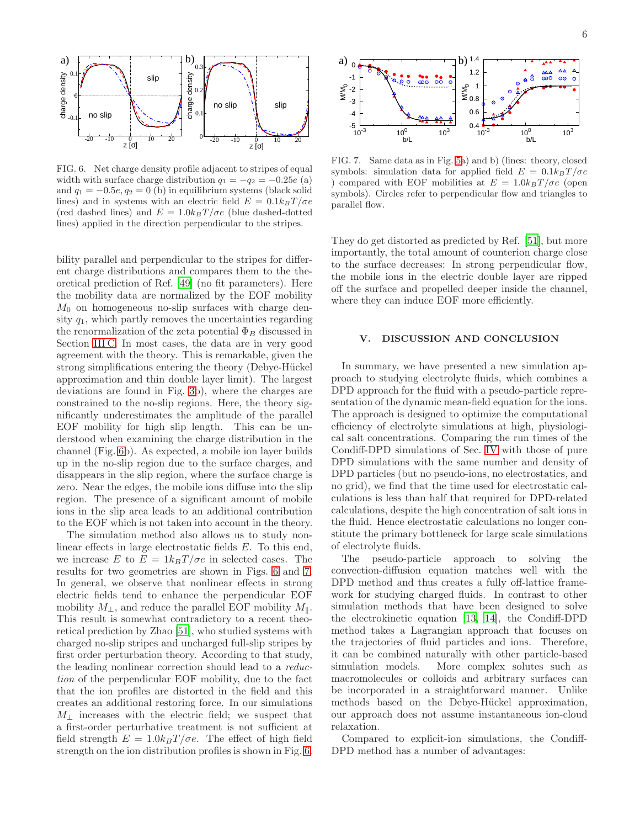

<span id="page-5-1"></span>FIG. 6. Net charge density profile adjacent to stripes of equal width with surface charge distribution  $q_1 = -q_2 = -0.25e$  (a) and  $q_1 = -0.5e, q_2 = 0$  (b) in equilibrium systems (black solid lines) and in systems with an electric field  $E = 0.1k_BT/\sigma e$ (red dashed lines) and  $E = 1.0k_BT/\sigma e$  (blue dashed-dotted lines) applied in the direction perpendicular to the stripes.

bility parallel and perpendicular to the stripes for different charge distributions and compares them to the theoretical prediction of Ref. [\[49](#page-11-39)] (no fit parameters). Here the mobility data are normalized by the EOF mobility  $M_0$  on homogeneous no-slip surfaces with charge density  $q_1$ , which partly removes the uncertainties regarding the renormalization of the zeta potential  $\Phi_B$  discussed in Section [III C.](#page-3-4) In most cases, the data are in very good agreement with the theory. This is remarkable, given the strong simplifications entering the theory (Debye-Hückel approximation and thin double layer limit). The largest deviations are found in Fig. [3b](#page-3-2)), where the charges are constrained to the no-slip regions. Here, the theory significantly underestimates the amplitude of the parallel EOF mobility for high slip length. This can be understood when examining the charge distribution in the channel (Fig. [6b](#page-5-1)). As expected, a mobile ion layer builds up in the no-slip region due to the surface charges, and disappears in the slip region, where the surface charge is zero. Near the edges, the mobile ions diffuse into the slip region. The presence of a significant amount of mobile ions in the slip area leads to an additional contribution to the EOF which is not taken into account in the theory.

The simulation method also allows us to study nonlinear effects in large electrostatic fields E. To this end, we increase E to  $E = 1k_BT/\sigma e$  in selected cases. The results for two geometries are shown in Figs. [6](#page-5-1) and [7.](#page-5-2) In general, we observe that nonlinear effects in strong electric fields tend to enhance the perpendicular EOF mobility  $M_{\perp}$ , and reduce the parallel EOF mobility  $M_{\parallel}$ . This result is somewhat contradictory to a recent theoretical prediction by Zhao [\[51](#page-12-0)], who studied systems with charged no-slip stripes and uncharged full-slip stripes by first order perturbation theory. According to that study, the leading nonlinear correction should lead to a reduction of the perpendicular EOF mobility, due to the fact that the ion profiles are distorted in the field and this creates an additional restoring force. In our simulations  $M_{\perp}$  increases with the electric field; we suspect that a first-order perturbative treatment is not sufficient at field strength  $E = 1.0k_BT/\sigma e$ . The effect of high field strength on the ion distribution profiles is shown in Fig. [6.](#page-5-1)



<span id="page-5-2"></span>FIG. 7. Same data as in Fig. [5a](#page-4-2)) and b) (lines: theory, closed symbols: simulation data for applied field  $E = 0.1k_BT/\sigma e$ ) compared with EOF mobilities at  $E = 1.0 k_B T / \sigma e$  (open symbols). Circles refer to perpendicular flow and triangles to parallel flow.

They do get distorted as predicted by Ref. [\[51\]](#page-12-0), but more importantly, the total amount of counterion charge close to the surface decreases: In strong perpendicular flow, the mobile ions in the electric double layer are ripped off the surface and propelled deeper inside the channel, where they can induce EOF more efficiently.

# <span id="page-5-0"></span>V. DISCUSSION AND CONCLUSION

In summary, we have presented a new simulation approach to studying electrolyte fluids, which combines a DPD approach for the fluid with a pseudo-particle representation of the dynamic mean-field equation for the ions. The approach is designed to optimize the computational efficiency of electrolyte simulations at high, physiological salt concentrations. Comparing the run times of the Condiff-DPD simulations of Sec. [IV](#page-4-0) with those of pure DPD simulations with the same number and density of DPD particles (but no pseudo-ions, no electrostatics, and no grid), we find that the time used for electrostatic calculations is less than half that required for DPD-related calculations, despite the high concentration of salt ions in the fluid. Hence electrostatic calculations no longer constitute the primary bottleneck for large scale simulations of electrolyte fluids.

The pseudo-particle approach to solving the convection-diffusion equation matches well with the DPD method and thus creates a fully off-lattice framework for studying charged fluids. In contrast to other simulation methods that have been designed to solve the electrokinetic equation [\[13,](#page-11-8) [14\]](#page-11-9), the Condiff-DPD method takes a Lagrangian approach that focuses on the trajectories of fluid particles and ions. Therefore, it can be combined naturally with other particle-based simulation models. More complex solutes such as macromolecules or colloids and arbitrary surfaces can be incorporated in a straightforward manner. Unlike methods based on the Debye-Hückel approximation, our approach does not assume instantaneous ion-cloud relaxation.

Compared to explicit-ion simulations, the Condiff-DPD method has a number of advantages: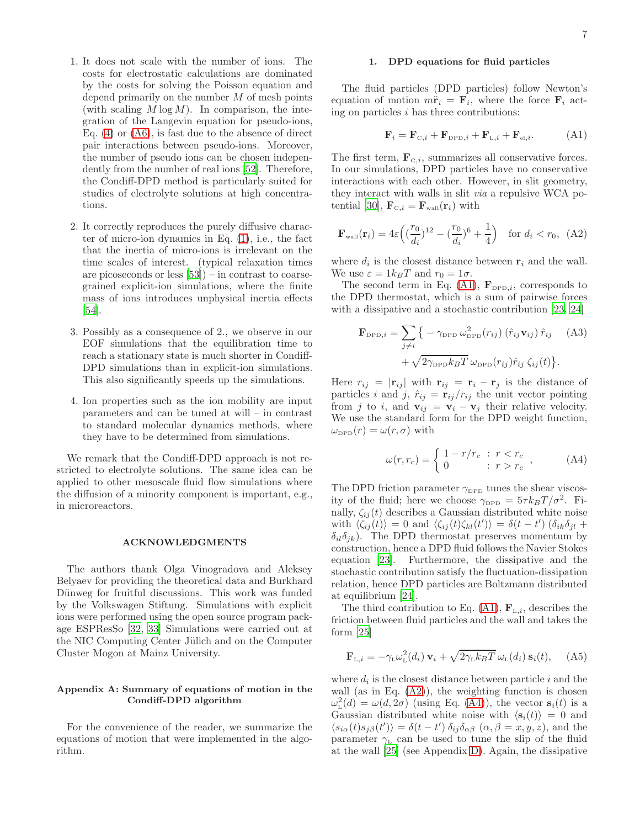- 1. It does not scale with the number of ions. The costs for electrostatic calculations are dominated by the costs for solving the Poisson equation and depend primarily on the number  $M$  of mesh points (with scaling  $M \log M$ ). In comparison, the integration of the Langevin equation for pseudo-ions, Eq.  $(4)$  or  $(46)$ , is fast due to the absence of direct pair interactions between pseudo-ions. Moreover, the number of pseudo ions can be chosen independently from the number of real ions [\[52\]](#page-12-1). Therefore, the Condiff-DPD method is particularly suited for studies of electrolyte solutions at high concentrations.
- 2. It correctly reproduces the purely diffusive character of micro-ion dynamics in Eq. [\(1\)](#page-1-2), i.e., the fact that the inertia of micro-ions is irrelevant on the time scales of interest. (typical relaxation times are picoseconds or less [\[53\]](#page-12-2)) – in contrast to coarsegrained explicit-ion simulations, where the finite mass of ions introduces unphysical inertia effects [\[54\]](#page-12-3).
- 3. Possibly as a consequence of 2., we observe in our EOF simulations that the equilibration time to reach a stationary state is much shorter in Condiff-DPD simulations than in explicit-ion simulations. This also significantly speeds up the simulations.
- 4. Ion properties such as the ion mobility are input parameters and can be tuned at will – in contrast to standard molecular dynamics methods, where they have to be determined from simulations.

We remark that the Condiff-DPD approach is not restricted to electrolyte solutions. The same idea can be applied to other mesoscale fluid flow simulations where the diffusion of a minority component is important, e.g., in microreactors.

## ACKNOWLEDGMENTS

The authors thank Olga Vinogradova and Aleksey Belyaev for providing the theoretical data and Burkhard Dünweg for fruitful discussions. This work was funded by the Volkswagen Stiftung. Simulations with explicit ions were performed using the open source program package ESPResSo [\[32,](#page-11-25) [33\]](#page-11-26) Simulations were carried out at the NIC Computing Center Jülich and on the Computer Cluster Mogon at Mainz University.

## Appendix A: Summary of equations of motion in the Condiff-DPD algorithm

For the convenience of the reader, we summarize the equations of motion that were implemented in the algorithm.

## <span id="page-6-0"></span>1. DPD equations for fluid particles

The fluid particles (DPD particles) follow Newton's equation of motion  $m\ddot{\mathbf{r}}_i = \mathbf{F}_i$ , where the force  $\mathbf{F}_i$  acting on particles  $i$  has three contributions:

<span id="page-6-1"></span>
$$
\mathbf{F}_{i} = \mathbf{F}_{\text{C},i} + \mathbf{F}_{\text{DPD},i} + \mathbf{F}_{\text{L},i} + \mathbf{F}_{\text{el},i}.
$$
 (A1)

The first term,  $\mathbf{F}_{C,i}$ , summarizes all conservative forces. In our simulations, DPD particles have no conservative interactions with each other. However, in slit geometry, they interact with walls in slit via a repulsive WCA po-tential [\[30\]](#page-11-23),  $\mathbf{F}_{\text{c},i} = \mathbf{F}_{\text{wall}}(\mathbf{r}_i)$  with

<span id="page-6-2"></span>
$$
\mathbf{F}_{\text{wall}}(\mathbf{r}_{i}) = 4\varepsilon \left( (\frac{r_{0}}{d_{i}})^{12} - (\frac{r_{0}}{d_{i}})^{6} + \frac{1}{4} \right) \text{ for } d_{i} < r_{0}, \tag{A2}
$$

where  $d_i$  is the closest distance between  $\mathbf{r}_i$  and the wall. We use  $\varepsilon = 1k_BT$  and  $r_0 = 1\sigma$ .

The second term in Eq. [\(A1\)](#page-6-1),  $\mathbf{F}_{\text{DPD},i}$ , corresponds to the DPD thermostat, which is a sum of pairwise forces with a dissipative and a stochastic contribution [\[23,](#page-11-16) [24](#page-11-17)]

$$
\mathbf{F}_{\text{DPD},i} = \sum_{j \neq i} \left\{ -\gamma_{\text{DPD}} \omega_{\text{DPD}}^2(r_{ij}) \left( \hat{r}_{ij} \mathbf{v}_{ij} \right) \hat{r}_{ij} \right. \quad (A3)
$$

$$
+ \sqrt{2 \gamma_{\text{DPD}} k_B T} \omega_{\text{DPD}}(r_{ij}) \hat{r}_{ij} \zeta_{ij}(t) \right\}.
$$

Here  $r_{ij} = |\mathbf{r}_{ij}|$  with  $\mathbf{r}_{ij} = \mathbf{r}_i - \mathbf{r}_j$  is the distance of particles i and j,  $\hat{r}_{ij} = \mathbf{r}_{ij}/r_{ij}$  the unit vector pointing from j to i, and  $\mathbf{v}_{ij} = \mathbf{v}_i - \mathbf{v}_j$  their relative velocity. We use the standard form for the DPD weight function,  $\omega_{\text{DPD}}(r) = \omega(r, \sigma)$  with

<span id="page-6-3"></span>
$$
\omega(r,r_c) = \begin{cases} 1 - r/r_c & \text{if } r < r_c \\ 0 & \text{if } r > r_c \end{cases} \tag{A4}
$$

The DPD friction parameter  $\gamma_{\text{DPD}}$  tunes the shear viscosity of the fluid; here we choose  $\gamma_{\text{DPD}} = 5\tau k_B T / \sigma^2$ . Finally,  $\zeta_{ij}(t)$  describes a Gaussian distributed white noise with  $\langle \zeta_{ij}(t) \rangle = 0$  and  $\langle \zeta_{ij}(t) \zeta_{kl}(t') \rangle = \delta(t - t') (\delta_{ik} \delta_{jl} +$  $\delta_{il}\delta_{ik}$ ). The DPD thermostat preserves momentum by construction, hence a DPD fluid follows the Navier Stokes equation [\[23](#page-11-16)]. Furthermore, the dissipative and the stochastic contribution satisfy the fluctuation-dissipation relation, hence DPD particles are Boltzmann distributed at equilibrium [\[24\]](#page-11-17).

The third contribution to Eq. [\(A1\)](#page-6-1),  $\mathbf{F}_{\text{L},i}$ , describes the friction between fluid particles and the wall and takes the form [\[25](#page-11-18)]

<span id="page-6-4"></span>
$$
\mathbf{F}_{L,i} = -\gamma_{L}\omega_{L}^{2}(d_{i})\,\mathbf{v}_{i} + \sqrt{2\gamma_{L}k_{B}T}\,\omega_{L}(d_{i})\,\mathbf{s}_{i}(t),\quad\text{(A5)}
$$

where  $d_i$  is the closest distance between particle i and the wall (as in Eq.  $(A2)$ ), the weighting function is chosen  $\omega_{\rm L}^2(d) = \omega(d, 2\sigma)$  (using Eq. [\(A4\)](#page-6-3)), the vector  $s_i(t)$  is a Gaussian distributed white noise with  $\langle s_i(t) \rangle = 0$  and  $\langle s_{i\alpha}(t)s_{j\beta}(t')\rangle = \delta(t-t')\,\delta_{ij}\delta_{\alpha\beta}\,(\alpha,\beta=x,y,z)$ , and the parameter  $\gamma$ <sub>L</sub> can be used to tune the slip of the fluid at the wall [\[25](#page-11-18)] (see Appendix [D\)](#page-10-1). Again, the dissipative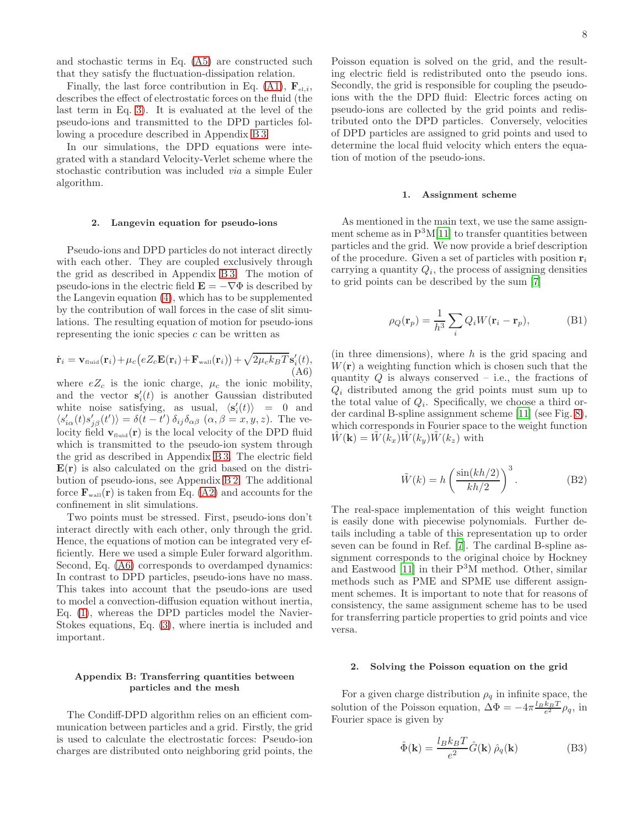and stochastic terms in Eq. [\(A5\)](#page-6-4) are constructed such that they satisfy the fluctuation-dissipation relation.

Finally, the last force contribution in Eq. [\(A1\)](#page-6-1),  $\mathbf{F}_{e^{\perp}i}$ , describes the effect of electrostatic forces on the fluid (the last term in Eq. [3\)](#page-1-1). It is evaluated at the level of the pseudo-ions and transmitted to the DPD particles following a procedure described in Appendix [B 3.](#page-8-0)

In our simulations, the DPD equations were integrated with a standard Velocity-Verlet scheme where the stochastic contribution was included via a simple Euler algorithm.

#### <span id="page-7-0"></span>2. Langevin equation for pseudo-ions

Pseudo-ions and DPD particles do not interact directly with each other. They are coupled exclusively through the grid as described in Appendix [B 3.](#page-8-0) The motion of pseudo-ions in the electric field  $\mathbf{E} = -\nabla \Phi$  is described by the Langevin equation [\(4\)](#page-1-4), which has to be supplemented by the contribution of wall forces in the case of slit simulations. The resulting equation of motion for pseudo-ions representing the ionic species  $c$  can be written as

<span id="page-7-3"></span>
$$
\dot{\mathbf{r}}_i = \mathbf{v}_{\text{fluid}}(\mathbf{r}_i) + \mu_c \big(eZ_c \mathbf{E}(\mathbf{r}_i) + \mathbf{F}_{\text{wall}}(\mathbf{r}_i)\big) + \sqrt{2\mu_c k_B T} \mathbf{s}'_i(t),
$$
\n(A6)

where  $eZ_c$  is the ionic charge,  $\mu_c$  the ionic mobility, and the vector  $\mathbf{s}'_i(t)$  is another Gaussian distributed white noise satisfying, as usual,  $\langle s_i'(t) \rangle = 0$  and  $\langle s'_{i\alpha}(t)s'_{j\beta}(t')\rangle = \delta(t-t')\,\delta_{ij}\delta_{\alpha\beta}\,(\alpha,\beta=x,y,z)$ . The velocity field  $\mathbf{v}_{\text{fluid}}(\mathbf{r})$  is the local velocity of the DPD fluid which is transmitted to the pseudo-ion system through the grid as described in Appendix [B 3.](#page-8-0) The electric field  $E(r)$  is also calculated on the grid based on the distribution of pseudo-ions, see Appendix [B 2.](#page-7-2) The additional force  $\mathbf{F}_{\text{wall}}(\mathbf{r})$  is taken from Eq. [\(A2\)](#page-6-2) and accounts for the confinement in slit simulations.

Two points must be stressed. First, pseudo-ions don't interact directly with each other, only through the grid. Hence, the equations of motion can be integrated very efficiently. Here we used a simple Euler forward algorithm. Second, Eq. [\(A6\)](#page-7-3) corresponds to overdamped dynamics: In contrast to DPD particles, pseudo-ions have no mass. This takes into account that the pseudo-ions are used to model a convection-diffusion equation without inertia, Eq. [\(1\)](#page-1-2), whereas the DPD particles model the Navier-Stokes equations, Eq. [\(3\)](#page-1-1), where inertia is included and important.

# Appendix B: Transferring quantities between particles and the mesh

The Condiff-DPD algorithm relies on an efficient communication between particles and a grid. Firstly, the grid is used to calculate the electrostatic forces: Pseudo-ion charges are distributed onto neighboring grid points, the

Poisson equation is solved on the grid, and the resulting electric field is redistributed onto the pseudo ions. Secondly, the grid is responsible for coupling the pseudoions with the the DPD fluid: Electric forces acting on pseudo-ions are collected by the grid points and redistributed onto the DPD particles. Conversely, velocities of DPD particles are assigned to grid points and used to determine the local fluid velocity which enters the equation of motion of the pseudo-ions.

#### <span id="page-7-1"></span>1. Assignment scheme

As mentioned in the main text, we use the same assignment scheme as in  $P<sup>3</sup>M[11]$  $P<sup>3</sup>M[11]$  to transfer quantities between particles and the grid. We now provide a brief description of the procedure. Given a set of particles with position  $r_i$ carrying a quantity  $Q_i$ , the process of assigning densities to grid points can be described by the sum [\[7](#page-11-4)]

$$
\rho_Q(\mathbf{r}_p) = \frac{1}{h^3} \sum_i Q_i W(\mathbf{r}_i - \mathbf{r}_p),
$$
 (B1)

(in three dimensions), where  $h$  is the grid spacing and  $W(\mathbf{r})$  a weighting function which is chosen such that the quantity  $Q$  is always conserved – i.e., the fractions of  $Q_i$  distributed among the grid points must sum up to the total value of  $Q_i$ . Specifically, we choose a third order cardinal B-spline assignment scheme [\[11](#page-11-6)] (see Fig. [8\)](#page-8-1), which corresponds in Fourier space to the weight function  $W(\mathbf{k}) = W(k_x)W(k_y)W(k_z)$  with

$$
\tilde{W}(k) = h \left( \frac{\sin(kh/2)}{kh/2} \right)^3.
$$
\n(B2)

The real-space implementation of this weight function is easily done with piecewise polynomials. Further details including a table of this representation up to order seven can be found in Ref. [\[7\]](#page-11-4). The cardinal B-spline assignment corresponds to the original choice by Hockney and Eastwood [\[11\]](#page-11-6) in their P3M method. Other, similar methods such as PME and SPME use different assignment schemes. It is important to note that for reasons of consistency, the same assignment scheme has to be used for transferring particle properties to grid points and vice versa.

### <span id="page-7-2"></span>2. Solving the Poisson equation on the grid

For a given charge distribution  $\rho_q$  in infinite space, the solution of the Poisson equation,  $\Delta \Phi = -4\pi \frac{l_B k_B T}{e^2} \rho_q$ , in Fourier space is given by

<span id="page-7-4"></span>
$$
\hat{\Phi}(\mathbf{k}) = \frac{l_B k_B T}{e^2} \hat{G}(\mathbf{k}) \hat{\rho}_q(\mathbf{k})
$$
 (B3)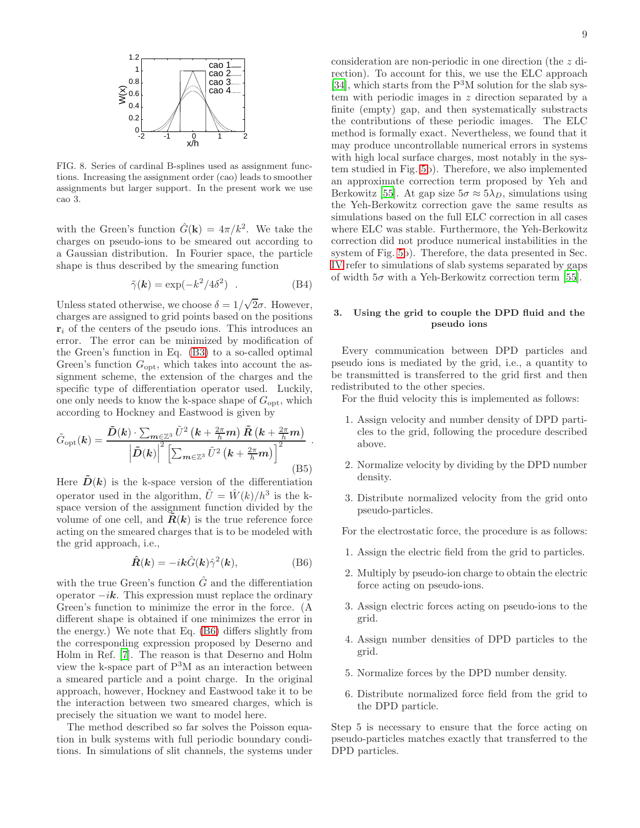

<span id="page-8-1"></span>FIG. 8. Series of cardinal B-splines used as assignment functions. Increasing the assignment order (cao) leads to smoother assignments but larger support. In the present work we use cao 3.

with the Green's function  $\hat{G}(\mathbf{k}) = 4\pi/k^2$ . We take the charges on pseudo-ions to be smeared out according to a Gaussian distribution. In Fourier space, the particle shape is thus described by the smearing function

$$
\tilde{\gamma}(\mathbf{k}) = \exp(-k^2/4\delta^2) \quad . \tag{B4}
$$

Unless stated otherwise, we choose  $\delta = 1/\sqrt{2}\sigma$ . However, charges are assigned to grid points based on the positions  $\mathbf{r}_i$  of the centers of the pseudo ions. This introduces an error. The error can be minimized by modification of the Green's function in Eq. [\(B3\)](#page-7-4) to a so-called optimal Green's function  $G_{\text{opt}}$ , which takes into account the assignment scheme, the extension of the charges and the specific type of differentiation operator used. Luckily, one only needs to know the k-space shape of  $G_{\text{opt}}$ , which according to Hockney and Eastwood is given by

$$
\tilde{G}_{\text{opt}}(\mathbf{k}) = \frac{\tilde{D}(\mathbf{k}) \cdot \sum_{\mathbf{m} \in \mathbb{Z}^3} \tilde{U}^2 \left(\mathbf{k} + \frac{2\pi}{h} \mathbf{m}\right) \tilde{\mathbf{R}} \left(\mathbf{k} + \frac{2\pi}{h} \mathbf{m}\right)}{\left|\tilde{D}(\mathbf{k})\right|^2 \left[\sum_{\mathbf{m} \in \mathbb{Z}^3} \tilde{U}^2 \left(\mathbf{k} + \frac{2\pi}{h} \mathbf{m}\right)\right]^2} \tag{B5}
$$

Here  $\hat{D}(\mathbf{k})$  is the k-space version of the differentiation operator used in the algorithm,  $\tilde{U} = \hat{W}(k)/h^3$  is the kspace version of the assignment function divided by the volume of one cell, and  $\vec{R}(k)$  is the true reference force acting on the smeared charges that is to be modeled with the grid approach, i.e.,

<span id="page-8-2"></span>
$$
\hat{\mathbf{R}}(\mathbf{k}) = -i\mathbf{k}\hat{G}(\mathbf{k})\hat{\gamma}^{2}(\mathbf{k}),\tag{B6}
$$

with the true Green's function  $\hat{G}$  and the differentiation operator  $-i\mathbf{k}$ . This expression must replace the ordinary Green's function to minimize the error in the force. (A different shape is obtained if one minimizes the error in the energy.) We note that Eq. [\(B6\)](#page-8-2) differs slightly from the corresponding expression proposed by Deserno and Holm in Ref. [\[7](#page-11-4)]. The reason is that Deserno and Holm view the k-space part of P3M as an interaction between a smeared particle and a point charge. In the original approach, however, Hockney and Eastwood take it to be the interaction between two smeared charges, which is precisely the situation we want to model here.

The method described so far solves the Poisson equation in bulk systems with full periodic boundary conditions. In simulations of slit channels, the systems under

consideration are non-periodic in one direction (the z direction). To account for this, we use the ELC approach [\[34\]](#page-11-27), which starts from the  $P<sup>3</sup>M$  solution for the slab system with periodic images in z direction separated by a finite (empty) gap, and then systematically substracts the contributions of these periodic images. The ELC method is formally exact. Nevertheless, we found that it may produce uncontrollable numerical errors in systems with high local surface charges, most notably in the system studied in Fig. [5b](#page-4-2)). Therefore, we also implemented an approximate correction term proposed by Yeh and Berkowitz [\[55\]](#page-12-4). At gap size  $5\sigma \approx 5\lambda_D$ , simulations using the Yeh-Berkowitz correction gave the same results as simulations based on the full ELC correction in all cases where ELC was stable. Furthermore, the Yeh-Berkowitz correction did not produce numerical instabilities in the system of Fig. [5b](#page-4-2)). Therefore, the data presented in Sec. [IV](#page-4-0) refer to simulations of slab systems separated by gaps of width  $5\sigma$  with a Yeh-Berkowitz correction term [\[55\]](#page-12-4).

# <span id="page-8-0"></span>3. Using the grid to couple the DPD fluid and the pseudo ions

Every communication between DPD particles and pseudo ions is mediated by the grid, i.e., a quantity to be transmitted is transferred to the grid first and then redistributed to the other species.

For the fluid velocity this is implemented as follows:

- 1. Assign velocity and number density of DPD particles to the grid, following the procedure described above.
- 2. Normalize velocity by dividing by the DPD number density.
- 3. Distribute normalized velocity from the grid onto pseudo-particles.

For the electrostatic force, the procedure is as follows:

- 1. Assign the electric field from the grid to particles.
- 2. Multiply by pseudo-ion charge to obtain the electric force acting on pseudo-ions.
- 3. Assign electric forces acting on pseudo-ions to the grid.
- 4. Assign number densities of DPD particles to the grid.
- 5. Normalize forces by the DPD number density.
- 6. Distribute normalized force field from the grid to the DPD particle.

Step 5 is necessary to ensure that the force acting on pseudo-particles matches exactly that transferred to the DPD particles.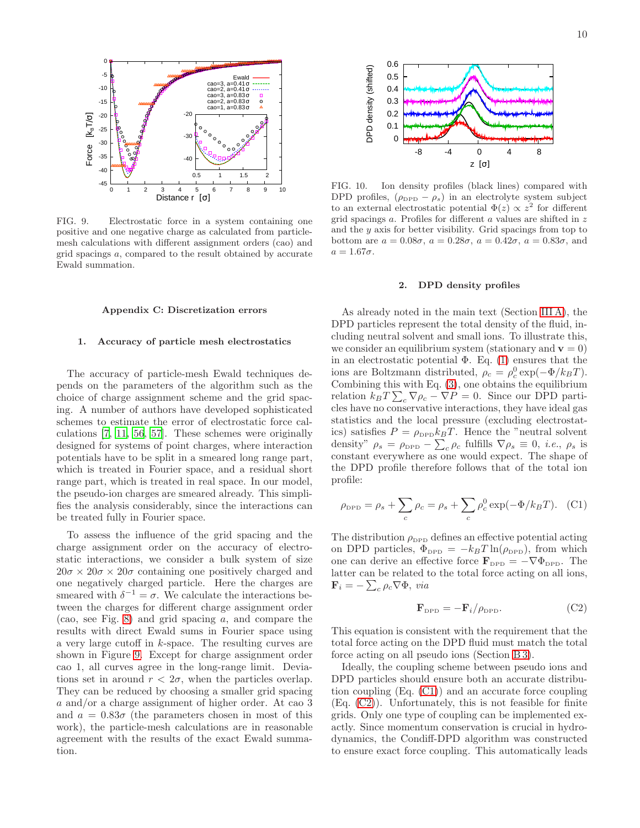

<span id="page-9-1"></span>FIG. 9. Electrostatic force in a system containing one positive and one negative charge as calculated from particlemesh calculations with different assignment orders (cao) and grid spacings a, compared to the result obtained by accurate Ewald summation.

## Appendix C: Discretization errors

#### 1. Accuracy of particle mesh electrostatics

The accuracy of particle-mesh Ewald techniques depends on the parameters of the algorithm such as the choice of charge assignment scheme and the grid spacing. A number of authors have developed sophisticated schemes to estimate the error of electrostatic force calculations [\[7,](#page-11-4) [11](#page-11-6), [56,](#page-12-5) [57\]](#page-12-6). These schemes were originally designed for systems of point charges, where interaction potentials have to be split in a smeared long range part, which is treated in Fourier space, and a residual short range part, which is treated in real space. In our model, the pseudo-ion charges are smeared already. This simplifies the analysis considerably, since the interactions can be treated fully in Fourier space.

To assess the influence of the grid spacing and the charge assignment order on the accuracy of electrostatic interactions, we consider a bulk system of size  $20\sigma \times 20\sigma \times 20\sigma$  containing one positively charged and one negatively charged particle. Here the charges are smeared with  $\delta^{-1} = \sigma$ . We calculate the interactions between the charges for different charge assignment order (cao, see Fig. [8\)](#page-8-1) and grid spacing a, and compare the results with direct Ewald sums in Fourier space using a very large cutoff in k-space. The resulting curves are shown in Figure [9.](#page-9-1) Except for charge assignment order cao 1, all curves agree in the long-range limit. Deviations set in around  $r < 2\sigma$ , when the particles overlap. They can be reduced by choosing a smaller grid spacing a and/or a charge assignment of higher order. At cao 3 and  $a = 0.83\sigma$  (the parameters chosen in most of this work), the particle-mesh calculations are in reasonable agreement with the results of the exact Ewald summation.



<span id="page-9-4"></span>FIG. 10. Ion density profiles (black lines) compared with DPD profiles,  $(\rho_{\text{DPD}} - \rho_s)$  in an electrolyte system subject to an external electrostatic potential  $\Phi(z) \propto z^2$  for different grid spacings  $a$ . Profiles for different  $a$  values are shifted in  $z$ and the  $y$  axis for better visibility. Grid spacings from top to bottom are  $a = 0.08\sigma$ ,  $a = 0.28\sigma$ ,  $a = 0.42\sigma$ ,  $a = 0.83\sigma$ , and  $a = 1.67\sigma.$ 

#### <span id="page-9-0"></span>2. DPD density profiles

As already noted in the main text (Section [III A\)](#page-2-1), the DPD particles represent the total density of the fluid, including neutral solvent and small ions. To illustrate this, we consider an equilibrium system (stationary and  $\mathbf{v} = 0$ ) in an electrostatic potential  $\Phi$ . Eq. [\(1\)](#page-1-2) ensures that the ions are Boltzmann distributed,  $\rho_c = \rho_c^0 \exp(-\Phi/k_BT)$ . Combining this with Eq. [\(3\)](#page-1-1), one obtains the equilibrium relation  $k_B T \sum_c \nabla \rho_c - \nabla P = 0$ . Since our DPD particles have no conservative interactions, they have ideal gas statistics and the local pressure (excluding electrostatics) satisfies  $P = \rho_{\text{DPD}} k_B T$ . Hence the "neutral solvent" density"  $\rho_s = \rho_{\rm DPD} - \sum_c \rho_c$  fulfills  $\nabla \rho_s \equiv 0$ , *i.e.*,  $\rho_s$  is constant everywhere as one would expect. The shape of the DPD profile therefore follows that of the total ion profile:

<span id="page-9-2"></span>
$$
\rho_{\text{DPD}} = \rho_s + \sum_c \rho_c = \rho_s + \sum_c \rho_c^0 \exp(-\Phi/k_B T).
$$
 (C1)

The distribution  $\rho_{\text{DPD}}$  defines an effective potential acting on DPD particles,  $\Phi_{\text{DPD}} = -k_B T \ln(\rho_{\text{DPD}})$ , from which one can derive an effective force  $\mathbf{F}_{\text{DPD}} = -\nabla \Phi_{\text{DPD}}$ . The latter can be related to the total force acting on all ions,  $\mathbf{F}_i = -\sum_c \rho_c \nabla \Phi$ , via

<span id="page-9-3"></span>
$$
\mathbf{F}_{\text{DPD}} = -\mathbf{F}_i / \rho_{\text{DPD}}.\tag{C2}
$$

This equation is consistent with the requirement that the total force acting on the DPD fluid must match the total force acting on all pseudo ions (Section [B 3\)](#page-8-0).

Ideally, the coupling scheme between pseudo ions and DPD particles should ensure both an accurate distribution coupling (Eq. [\(C1\)](#page-9-2)) and an accurate force coupling (Eq. [\(C2\)](#page-9-3)). Unfortunately, this is not feasible for finite grids. Only one type of coupling can be implemented exactly. Since momentum conservation is crucial in hydrodynamics, the Condiff-DPD algorithm was constructed to ensure exact force coupling. This automatically leads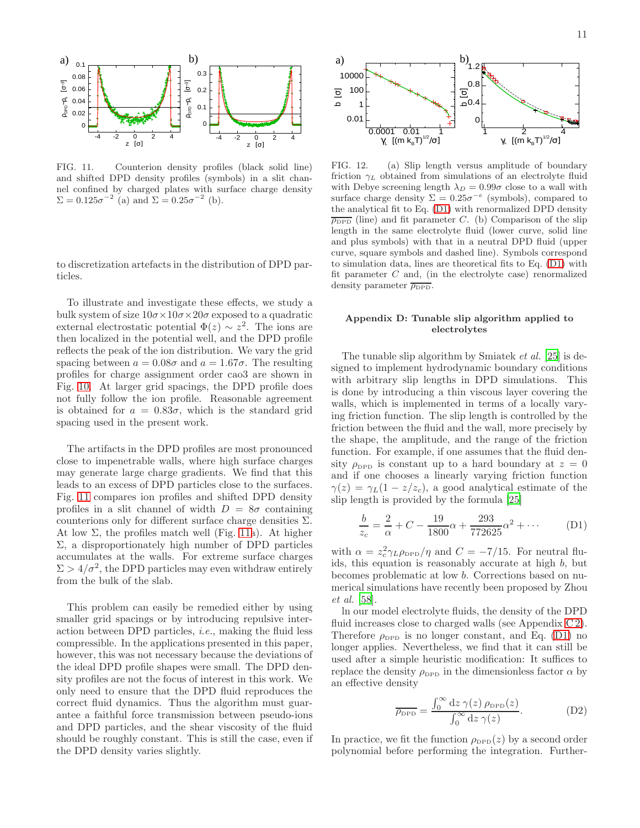

<span id="page-10-2"></span>FIG. 11. Counterion density profiles (black solid line) and shifted DPD density profiles (symbols) in a slit channel confined by charged plates with surface charge density  $\Sigma = 0.125 \sigma^{-2}$  (a) and  $\Sigma = 0.25 \sigma^{-2}$  (b).

to discretization artefacts in the distribution of DPD particles.

To illustrate and investigate these effects, we study a bulk system of size  $10\sigma \times 10\sigma \times 20\sigma$  exposed to a quadratic external electrostatic potential  $\Phi(z) \sim z^2$ . The ions are then localized in the potential well, and the DPD profile reflects the peak of the ion distribution. We vary the grid spacing between  $a = 0.08\sigma$  and  $a = 1.67\sigma$ . The resulting profiles for charge assignment order cao3 are shown in Fig. [10.](#page-9-4) At larger grid spacings, the DPD profile does not fully follow the ion profile. Reasonable agreement is obtained for  $a = 0.83\sigma$ , which is the standard grid spacing used in the present work.

The artifacts in the DPD profiles are most pronounced close to impenetrable walls, where high surface charges may generate large charge gradients. We find that this leads to an excess of DPD particles close to the surfaces. Fig. [11](#page-10-2) compares ion profiles and shifted DPD density profiles in a slit channel of width  $D = 8\sigma$  containing counterions only for different surface charge densities  $\Sigma$ . At low  $\Sigma$ , the profiles match well (Fig. [11a](#page-10-2)). At higher Σ, a disproportionately high number of DPD particles accumulates at the walls. For extreme surface charges  $\Sigma > 4/\sigma^2$ , the DPD particles may even withdraw entirely from the bulk of the slab.

This problem can easily be remedied either by using smaller grid spacings or by introducing repulsive interaction between DPD particles, i.e., making the fluid less compressible. In the applications presented in this paper, however, this was not necessary because the deviations of the ideal DPD profile shapes were small. The DPD density profiles are not the focus of interest in this work. We only need to ensure that the DPD fluid reproduces the correct fluid dynamics. Thus the algorithm must guarantee a faithful force transmission between pseudo-ions and DPD particles, and the shear viscosity of the fluid should be roughly constant. This is still the case, even if the DPD density varies slightly.



<span id="page-10-4"></span>FIG. 12. (a) Slip length versus amplitude of boundary friction  $\gamma_L$  obtained from simulations of an electrolyte fluid with Debye screening length  $\lambda_D = 0.99\sigma$  close to a wall with surface charge density  $\Sigma = 0.25\sigma^{-e}$  (symbols), compared to the analytical fit to Eq. [\(D1\)](#page-10-3) with renormalized DPD density  $\overline{\rho_{\text{DPD}}}$  (line) and fit parameter C. (b) Comparison of the slip length in the same electrolyte fluid (lower curve, solid line and plus symbols) with that in a neutral DPD fluid (upper curve, square symbols and dashed line). Symbols correspond to simulation data, lines are theoretical fits to Eq. [\(D1\)](#page-10-3) with fit parameter  $C$  and, (in the electrolyte case) renormalized density parameter  $\overline{\rho_{\text{DPD}}}.$ 

# <span id="page-10-1"></span>Appendix D: Tunable slip algorithm applied to electrolytes

The tunable slip algorithm by Smiatek et al. [\[25\]](#page-11-18) is designed to implement hydrodynamic boundary conditions with arbitrary slip lengths in DPD simulations. This is done by introducing a thin viscous layer covering the walls, which is implemented in terms of a locally varying friction function. The slip length is controlled by the friction between the fluid and the wall, more precisely by the shape, the amplitude, and the range of the friction function. For example, if one assumes that the fluid density  $\rho_{\text{DPD}}$  is constant up to a hard boundary at  $z = 0$ and if one chooses a linearly varying friction function  $\gamma(z) = \gamma_L(1 - z/z_c)$ , a good analytical estimate of the slip length is provided by the formula [\[25](#page-11-18)]

<span id="page-10-3"></span>
$$
\frac{b}{z_c} = \frac{2}{\alpha} + C - \frac{19}{1800}\alpha + \frac{293}{772625}\alpha^2 + \dots
$$
 (D1)

with  $\alpha = z_c^2 \gamma_L \rho_{\text{DPD}} / \eta$  and  $C = -7/15$ . For neutral fluids, this equation is reasonably accurate at high  $b$ , but becomes problematic at low b. Corrections based on numerical simulations have recently been proposed by Zhou et al. [\[58\]](#page-12-7).

ln our model electrolyte fluids, the density of the DPD fluid increases close to charged walls (see Appendix [C 2\)](#page-9-0). Therefore  $\rho_{\text{DPD}}$  is no longer constant, and Eq. [\(D1\)](#page-10-3) no longer applies. Nevertheless, we find that it can still be used after a simple heuristic modification: It suffices to replace the density  $\rho_{\text{DPD}}$  in the dimensionless factor  $\alpha$  by an effective density

<span id="page-10-0"></span>
$$
\overline{\rho_{\rm DPD}} = \frac{\int_0^\infty dz \,\gamma(z) \,\rho_{\rm DPD}(z)}{\int_0^\infty dz \,\gamma(z)}.
$$
 (D2)

In practice, we fit the function  $\rho_{\text{DPD}}(z)$  by a second order polynomial before performing the integration. Further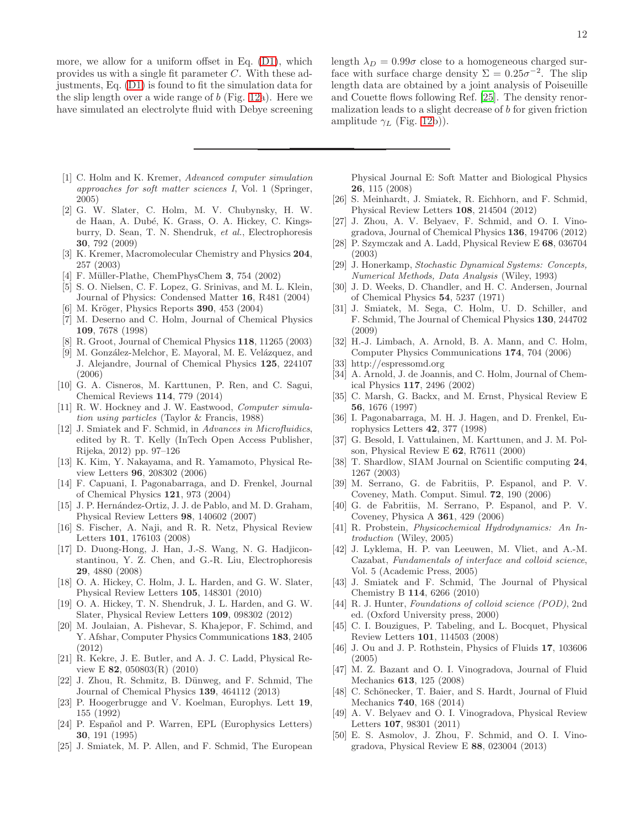more, we allow for a uniform offset in Eq. [\(D1\)](#page-10-3), which provides us with a single fit parameter C. With these adjustments, Eq. [\(D1\)](#page-10-3) is found to fit the simulation data for the slip length over a wide range of  $b$  (Fig. [12a](#page-10-4)). Here we have simulated an electrolyte fluid with Debye screening

- <span id="page-11-0"></span>[1] C. Holm and K. Kremer, *Advanced computer simulation approaches for soft matter sciences I*, Vol. 1 (Springer, 2005)
- <span id="page-11-1"></span>[2] G. W. Slater, C. Holm, M. V. Chubynsky, H. W. de Haan, A. Dubé, K. Grass, O. A. Hickey, C. Kingsburry, D. Sean, T. N. Shendruk, *et al.*, Electrophoresis 30, 792 (2009)
- <span id="page-11-2"></span>[3] K. Kremer, Macromolecular Chemistry and Physics 204, 257 (2003)
- [4] F. Müller-Plathe, ChemPhysChem  $3, 754$  (2002)
- [5] S. O. Nielsen, C. F. Lopez, G. Srinivas, and M. L. Klein, Journal of Physics: Condensed Matter 16, R481 (2004)
- <span id="page-11-3"></span>M. Kröger, Physics Reports 390, 453 (2004)
- <span id="page-11-4"></span>[7] M. Deserno and C. Holm, Journal of Chemical Physics 109, 7678 (1998)
- [8] R. Groot, Journal of Chemical Physics 118, 11265 (2003)<br>[9] M. González-Melchor, E. Mayoral, M. E. Velázquez, and
- M. González-Melchor, E. Mayoral, M. E. Velázquez, and J. Alejandre, Journal of Chemical Physics 125, 224107 (2006)
- <span id="page-11-5"></span>[10] G. A. Cisneros, M. Karttunen, P. Ren, and C. Sagui, Chemical Reviews 114, 779 (2014)
- <span id="page-11-6"></span>[11] R. W. Hockney and J. W. Eastwood, *Computer simulation using particles* (Taylor & Francis, 1988)
- <span id="page-11-7"></span>[12] J. Smiatek and F. Schmid, in *Advances in Microfluidics*, edited by R. T. Kelly (InTech Open Access Publisher, Rijeka, 2012) pp. 97–126
- <span id="page-11-8"></span>[13] K. Kim, Y. Nakayama, and R. Yamamoto, Physical Review Letters 96, 208302 (2006)
- <span id="page-11-9"></span>[14] F. Capuani, I. Pagonabarraga, and D. Frenkel, Journal of Chemical Physics 121, 973 (2004)
- <span id="page-11-10"></span>[15] J. P. Hernández-Ortiz, J. J. de Pablo, and M. D. Graham, Physical Review Letters 98, 140602 (2007)
- <span id="page-11-11"></span>[16] S. Fischer, A. Naji, and R. R. Netz, Physical Review Letters 101, 176103 (2008)
- <span id="page-11-12"></span>[17] D. Duong-Hong, J. Han, J.-S. Wang, N. G. Hadjiconstantinou, Y. Z. Chen, and G.-R. Liu, Electrophoresis 29, 4880 (2008)
- [18] O. A. Hickey, C. Holm, J. L. Harden, and G. W. Slater, Physical Review Letters 105, 148301 (2010)
- [19] O. A. Hickey, T. N. Shendruk, J. L. Harden, and G. W. Slater, Physical Review Letters 109, 098302 (2012)
- <span id="page-11-13"></span>[20] M. Joulaian, A. Pishevar, S. Khajepor, F. Schimd, and Y. Afshar, Computer Physics Communications 183, 2405 (2012)
- <span id="page-11-14"></span>[21] R. Kekre, J. E. Butler, and A. J. C. Ladd, Physical Review E 82, 050803(R) (2010)
- <span id="page-11-15"></span>[22] J. Zhou, R. Schmitz, B. Dünweg, and F. Schmid, The Journal of Chemical Physics 139, 464112 (2013)
- <span id="page-11-16"></span>[23] P. Hoogerbrugge and V. Koelman, Europhys. Lett 19, 155 (1992)
- <span id="page-11-17"></span>[24] P. Español and P. Warren, EPL (Europhysics Letters) 30, 191 (1995)
- <span id="page-11-18"></span>[25] J. Smiatek, M. P. Allen, and F. Schmid, The European

length  $\lambda_D = 0.99\sigma$  close to a homogeneous charged surface with surface charge density  $\Sigma = 0.25\sigma^{-2}$ . The slip length data are obtained by a joint analysis of Poiseuille and Couette flows following Ref. [\[25](#page-11-18)]. The density renormalization leads to a slight decrease of b for given friction amplitude  $\gamma_L$  (Fig. [12b](#page-10-4))).

Physical Journal E: Soft Matter and Biological Physics 26, 115 (2008)

- <span id="page-11-19"></span>[26] S. Meinhardt, J. Smiatek, R. Eichhorn, and F. Schmid, Physical Review Letters 108, 214504 (2012)
- <span id="page-11-20"></span>[27] J. Zhou, A. V. Belyaev, F. Schmid, and O. I. Vinogradova, Journal of Chemical Physics 136, 194706 (2012)
- <span id="page-11-21"></span>[28] P. Szymczak and A. Ladd, Physical Review E 68, 036704 (2003)
- <span id="page-11-22"></span>[29] J. Honerkamp, *Stochastic Dynamical Systems: Concepts, Numerical Methods, Data Analysis* (Wiley, 1993)
- <span id="page-11-23"></span>[30] J. D. Weeks, D. Chandler, and H. C. Andersen, Journal of Chemical Physics 54, 5237 (1971)
- <span id="page-11-24"></span>[31] J. Smiatek, M. Sega, C. Holm, U. D. Schiller, and F. Schmid, The Journal of Chemical Physics 130, 244702 (2009)
- <span id="page-11-25"></span>[32] H.-J. Limbach, A. Arnold, B. A. Mann, and C. Holm, Computer Physics Communications 174, 704 (2006)
- <span id="page-11-26"></span>[33] http://espressomd.org
- <span id="page-11-27"></span>[34] A. Arnold, J. de Joannis, and C. Holm, Journal of Chemical Physics 117, 2496 (2002)
- <span id="page-11-28"></span>[35] C. Marsh, G. Backx, and M. Ernst, Physical Review E 56, 1676 (1997)
- <span id="page-11-29"></span>[36] I. Pagonabarraga, M. H. J. Hagen, and D. Frenkel, Europhysics Letters 42, 377 (1998)
- [37] G. Besold, I. Vattulainen, M. Karttunen, and J. M. Polson, Physical Review E 62, R7611 (2000)
- [38] T. Shardlow, SIAM Journal on Scientific computing 24, 1267 (2003)
- [39] M. Serrano, G. de Fabritiis, P. Espanol, and P. V. Coveney, Math. Comput. Simul. 72, 190 (2006)
- <span id="page-11-30"></span>[40] G. de Fabritiis, M. Serrano, P. Espanol, and P. V. Coveney, Physica A 361, 429 (2006)
- <span id="page-11-31"></span>[41] R. Probstein, *Physicochemical Hydrodynamics: An Introduction* (Wiley, 2005)
- <span id="page-11-32"></span>[42] J. Lyklema, H. P. van Leeuwen, M. Vliet, and A.-M. Cazabat, *Fundamentals of interface and colloid science*, Vol. 5 (Academic Press, 2005)
- <span id="page-11-33"></span>[43] J. Smiatek and F. Schmid, The Journal of Physical Chemistry B 114, 6266 (2010)
- <span id="page-11-34"></span>[44] R. J. Hunter, *Foundations of colloid science (POD)*, 2nd ed. (Oxford University press, 2000)
- <span id="page-11-35"></span>[45] C. I. Bouzigues, P. Tabeling, and L. Bocquet, Physical Review Letters 101, 114503 (2008)
- <span id="page-11-36"></span>[46] J. Ou and J. P. Rothstein, Physics of Fluids 17, 103606 (2005)
- <span id="page-11-37"></span>[47] M. Z. Bazant and O. I. Vinogradova, Journal of Fluid Mechanics 613, 125 (2008)
- <span id="page-11-38"></span>[48] C. Schönecker, T. Baier, and S. Hardt, Journal of Fluid Mechanics 740, 168 (2014)
- <span id="page-11-39"></span>[49] A. V. Belyaev and O. I. Vinogradova, Physical Review Letters 107, 98301 (2011)
- <span id="page-11-40"></span>[50] E. S. Asmolov, J. Zhou, F. Schmid, and O. I. Vinogradova, Physical Review E 88, 023004 (2013)